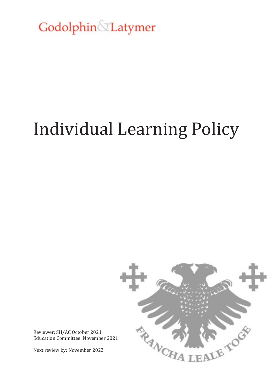Godolphin&Latymer

# Individual Learning Policy



Reviewer: SH/AC October 2021 Education Committee: November 2021

Next review by: November 2022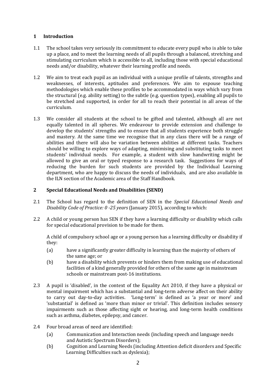### **1 Introduction**

- 1.1 The school takes very seriously its commitment to educate every pupil who is able to take up a place, and to meet the learning needs of all pupils through a balanced, stretching and stimulating curriculum which is accessible to all, including those with special educational needs and/or disability, whatever their learning profile and needs.
- 1.2 We aim to treat each pupil as an individual with a unique profile of talents, strengths and weaknesses, of interests, aptitudes and preferences. We aim to espouse teaching methodologies which enable these profiles to be accommodated in ways which vary from the structural (e.g. ability setting) to the subtle (e.g. question types), enabling all pupils to be stretched and supported, in order for all to reach their potential in all areas of the curriculum.
- 1.3 We consider all students at the school to be gifted and talented, although all are not equally talented in all spheres. We endeavour to provide extension and challenge to develop the students' strengths and to ensure that all students experience both struggle and mastery. At the same time we recognise that in any class there will be a range of abilities and there will also be variation between abilities at different tasks. Teachers should be willing to explore ways of adapting, minimising and substituting tasks to meet students' individual needs. For example, a student with slow handwriting might be allowed to give an oral or typed response to a research task. Suggestions for ways of reducing the burden for such students are provided by the Individual Learning department, who are happy to discuss the needs of individuals, and are also available in the ILN section of the Academic area of the Staff Handbook.

## **2 Special Educational Needs and Disabilities (SEND)**

- 2.1 The School has regard to the definition of SEN in the *Special Educational Needs and Disability Code of Practice: 0 -25 years* (January 2015), according to which:
- 2.2 A child or young person has SEN if they have a learning difficulty or disability which calls for special educational provision to be made for them.

A child of compulsory school age or a young person has a learning difficulty or disability if they:

- (a) have a significantly greater difficulty in learning than the majority of others of the same age; or
- (b) have a disability which prevents or hinders them from making use of educational facilities of a kind generally provided for others of the same age in mainstream schools or mainstream post-16 institutions.
- 2.3 A pupil is 'disabled', in the context of the Equality Act 2010, if they have a physical or mental impairment which has a substantial and long-term adverse affect on their ability to carry out day-to-day activities. 'Long-term' is defined as 'a year or more' and 'substantial' is defined as 'more than minor or trivial'. This definition includes sensory impairments such as those affecting sight or hearing, and long-term health conditions such as asthma, diabetes, epilepsy, and cancer.
- 2.4 Four broad areas of need are identified:
	- (a) Communication and Interaction needs (including speech and language needs and Autistic Spectrum Disorders);
	- (b) Cognition and Learning Needs (including Attention deficit disorders and Specific Learning Difficulties such as dyslexia);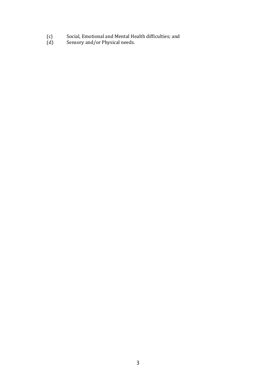- (c) Social, Emotional and Mental Health difficulties; and
- (d) Sensory and/or Physical needs.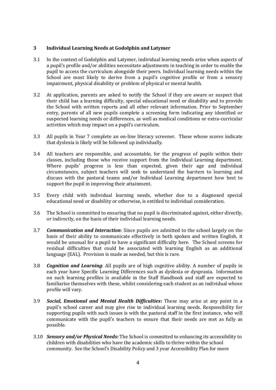#### **3 Individual Learning Needs at Godolphin and Latymer**

- 3.1 In the context of Godolphin and Latymer, individual learning needs arise when aspects of a pupil's profile and/or abilities necessitate adjustments in teaching in order to enable the pupil to access the curriculum alongside their peers. Individual learning needs within the School are most likely to derive from a pupil's cognitive profile or from a sensory impairment, physical disability or problem of physical or mental health.
- 3.2 At application, parents are asked to notify the School if they are aware or suspect that their child has a learning difficulty, special educational need or disability and to provide the School with written reports and all other relevant information. Prior to September entry, parents of all new pupils complete a screening form indicating any identified or suspected learning needs or differences, as well as medical conditions or extra-curricular activities which may impact on a pupil's curriculum.
- 3.3 All pupils in Year 7 complete an on-line literacy screener. Those whose scores indicate that dyslexia is likely will be followed up individually.
- 3.4 All teachers are responsible, and accountable, for the progress of pupils within their classes, including those who receive support from the Individual Learning department. Where pupils' progress is less than expected, given their age and individual circumstances, subject teachers will seek to understand the barriers to learning and discuss with the pastoral teams and/or Individual Learning department how best to support the pupil in improving their attainment.
- 3.5 Every child with individual learning needs, whether due to a diagnosed special educational need or disability or otherwise, is entitled to individual consideration.
- 3.6 The School is committed to ensuring that no pupil is discriminated against, either directly, or indirectly, on the basis of their individual learning needs.
- 3.7 *Communication and Interaction*: Since pupils are admitted to the school largely on the basis of their ability to communicate effectively in both spoken and written English, it would be unusual for a pupil to have a significant difficulty here. The School screens for residual difficulties that could be associated with learning English as an additional language (EAL). Provision is made as needed, but this is rare.
- 3.8 *Cognition and Learning*: All pupils are of high cognitive ability. A number of pupils in each year have Specific Learning Differences such as dyslexia or dyspraxia. Information on such learning profiles is available in the Staff Handbook and staff are expected to familiarise themselves with these, whilst considering each student as an individual whose profile will vary.
- 3.9 *Social, Emotional and Mental Health Difficulties***:** These may arise at any point in a pupil's school career and may give rise to individual learning needs. Responsibility for supporting pupils with such issues is with the pastoral staff in the first instance, who will communicate with the pupil's teachers to ensure that their needs are met as fully as possible.
- 3.10 *Sensory and/or Physical Needs***:** The School is committed to enhancing its accessibility to children with disabilities who have the academic skills to thrive within the school community. See the School's Disability Policy and 3 year Accessibility Plan for more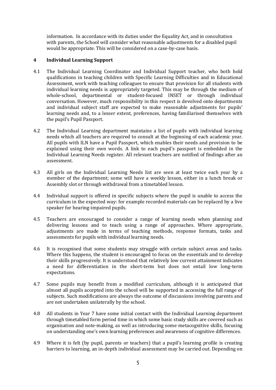information. In accordance with its duties under the Equality Act, and in consultation with parents, the School will consider what reasonable adjustments for a disabled pupil would be appropriate. This will be considered on a case-by-case basis.

### **4 Individual Learning Support**

- 4.1 The Individual Learning Coordinator and Individual Support teacher, who both hold qualifications in teaching children with Specific Learning Difficulties and in Educational Assessment, work with teaching colleagues to ensure that provision for all students with individual learning needs is appropriately targeted. This may be through the medium of whole-school, departmental or student-focused INSET or through individual conversation. However, much responsibility in this respect is devolved onto departments and individual subject staff are expected to make reasonable adjustments for pupils' learning needs and, to a lesser extent, preferences, having familiarised themselves with the pupil's Pupil Passport.
- 4.2 The Individual Learning department maintains a list of pupils with individual learning needs which all teachers are required to consult at the beginning of each academic year. All pupils with ILN have a Pupil Passport, which enables their needs and provision to be explained using their own words. A link to each pupil's passport is embedded in the Individual Learning Needs register. All relevant teachers are notified of findings after an assessment.
- 4.3 All girls on the Individual Learning Needs list are seen at least twice each year by a member of the department; some will have a weekly lesson, either in a lunch break or Assembly slot or through withdrawal from a timetabled lesson.
- 4.4 Individual support is offered in specific subjects where the pupil is unable to access the curriculum in the expected way: for example recorded materials can be replaced by a live speaker for hearing-impaired pupils.
- 4.5 Teachers are encouraged to consider a range of learning needs when planning and delivering lessons and to teach using a range of approaches. Where appropriate, adjustments are made in terms of teaching methods, response formats, tasks and assessments for pupils with individual learning needs.
- 4.6 It is recognised that some students may struggle with certain subject areas and tasks. Where this happens, the student is encouraged to focus on the essentials and to develop their skills progressively. It is understood that relatively low current attainment indicates a need for differentiation in the short-term but does not entail low long-term expectations.
- 4.7 Some pupils may benefit from a modified curriculum, although it is anticipated that almost all pupils accepted into the school will be supported in accessing the full range of subjects. Such modifications are always the outcome of discussions involving parents and are not undertaken unilaterally by the school.
- 4.8 All students in Year 7 have some initial contact with the Individual Learning department through timetabled form period time in which some basic study skills are covered such as organisation and note-making, as well as introducing some metacognitive skills, focusing on understanding one's own learning preferences and awareness of cognitive differences.
- 4.9 Where it is felt (by pupil, parents or teachers) that a pupil's learning profile is creating barriers to learning, an in-depth individual assessment may be carried out. Depending on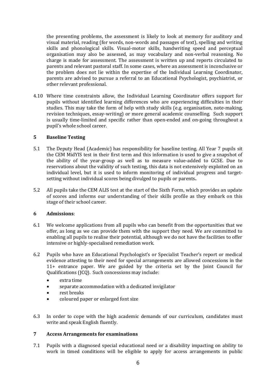the presenting problems, the assessment is likely to look at memory for auditory and visual material, reading (for words, non-words and passages of text), spelling and writing skills and phonological skills. Visual-motor skills, handwriting speed and perceptual organisation may also be assessed, as may vocabulary and non-verbal reasoning. No charge is made for assessment. The assessment is written up and reports circulated to parents and relevant pastoral staff. In some cases, where an assessment is inconclusive or the problem does not lie within the expertise of the Individual Learning Coordinator, parents are advised to pursue a referral to an Educational Psychologist, psychiatrist, or other relevant professional.

4.10 Where time constraints allow, the Individual Learning Coordinator offers support for pupils without identified learning differences who are experiencing difficulties in their studies. This may take the form of help with study skills (e.g. organisation, note-making, revision techniques, essay-writing) or more general academic counselling. Such support is usually time-limited and specific rather than open-ended and on-going throughout a pupil's whole school career.

### **5 Baseline Testing**

- 5.1 The Deputy Head (Academic) has responsibility for baseline testing. All Year 7 pupils sit the CEM MidYIS test in their first term and this information is used to give a snapshot of the ability of the year-group as well as to measure value-added to GCSE. Due to reservations about the validity of such testing, this data is not extensively exploited on an individual level, but it is used to inform monitoring of individual progress and targetsetting without individual scores being divulged to pupils or parents**.**
- 5.2 All pupils take the CEM ALIS test at the start of the Sixth Form, which provides an update of scores and informs our understanding of their skills profile as they embark on this stage of their school career.

### **6 Admissions**:

- 6.1 We welcome applications from all pupils who can benefit from the opportunities that we offer, as long as we can provide them with the support they need. We are committed to enabling all pupils to realise their potential, although we do not have the facilities to offer intensive or highly-specialised remediation work.
- 6.2 Pupils who have an Educational Psychologist's or Specialist Teacher's report or medical evidence attesting to their need for special arrangements are allowed concessions in the 11+ entrance paper. We are guided by the criteria set by the Joint Council for Qualifications (JCQ). Such concessions may include:
	- extra time
	- separate accommodation with a dedicated invigilator
	- rest breaks
	- coloured paper or enlarged font size
- 6.3 In order to cope with the high academic demands of our curriculum, candidates must write and speak English fluently.

### **7 Access Arrangements for examinations**

7.1 Pupils with a diagnosed special educational need or a disability impacting on ability to work in timed conditions will be eligible to apply for access arrangements in public